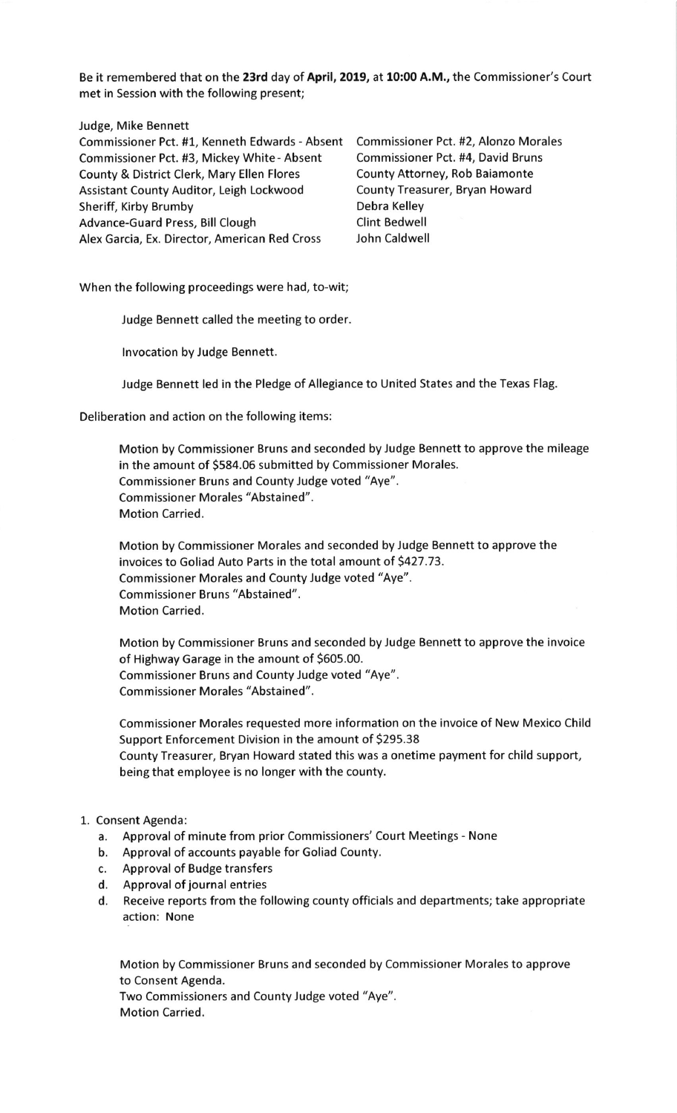Be it remembered that on the 23rd day of April, 2019, at 10:00 A.M., the Commissioner's Court met in Session with the following present;

Judge, Mike Bennett

Commissioner Pct. #1, Kenneth Edwards - Absent Commissioner Pct. #2, Alonzo Morales Commissioner Pct. #3, Mickey White - Absent Commissioner Pct. #4, David Bruns County & District Clerk, Mary Ellen Flores County Attorney, Rob Baiamonte Assistant County Auditor, Leigh Lockwood County Treasurer, Bryan Howard Sheriff, Kirby Brumby **Debra Kelley** Advance-Guard Press, Bill Clough Clint Bedwell<br>Alex Garcia. Ex. Director. American Red Cross John Caldwell Alex Garcia, Ex. Director, American Red Cross

When the following proceedings were had, to-wit;

Judge Bennett called the meeting to order.

lnvocation by Judge Bennett.

Judge Bennett led in the Pledge of Allegiance to United States and the Texas Flag.

Deliberation and action on the following items:

Motion by Commissioner Bruns and seconded by Judge Bennett to approve the mileage in the amount of 5584.06 submitted by Commissioner Morales. Commissioner Bruns and County Judge voted "Aye". Commissioner Morales "Abstained". Motion Carried.

Motion by Commissioner Morales and seconded by Judge Bennett to approve the invoices to Goliad Auto Parts in the total amount of 5427.73. Commissioner Morales and County Judge voted "Aye". Commissioner Bruns "Abstained". Motion Carried.

Motion by Commissioner Bruns and seconded by Judge Bennett to approve the invoice of Highway Garage in the amount of 5605.00. Commissioner Bruns and County Judge voted "Aye". Commissioner Morales "Abstained".

Commissioner Morales requested more information on the invoice of New Mexico Child Support Enforcement Division in the amount of S295.38 County Treasurer, Bryan Howard stated this was a onetime payment for child support, being that employee is no longer with the county.

## 1. Consent Agenda:

- a. Approval of minute from prior Commissioners'Court Meetings None
- b. Approval of accounts payable for Goliad County.
- c. Approval of Budge transfers
- d. Approval of journal entries
- d. Receive reports from the following county officials and departments; take appropriate action: None

Motion by Commissioner Bruns and seconded by Commissioner Morales to approve to Consent Agenda.

Two Commissioners and County Judge voted "Aye". Motion Carried.